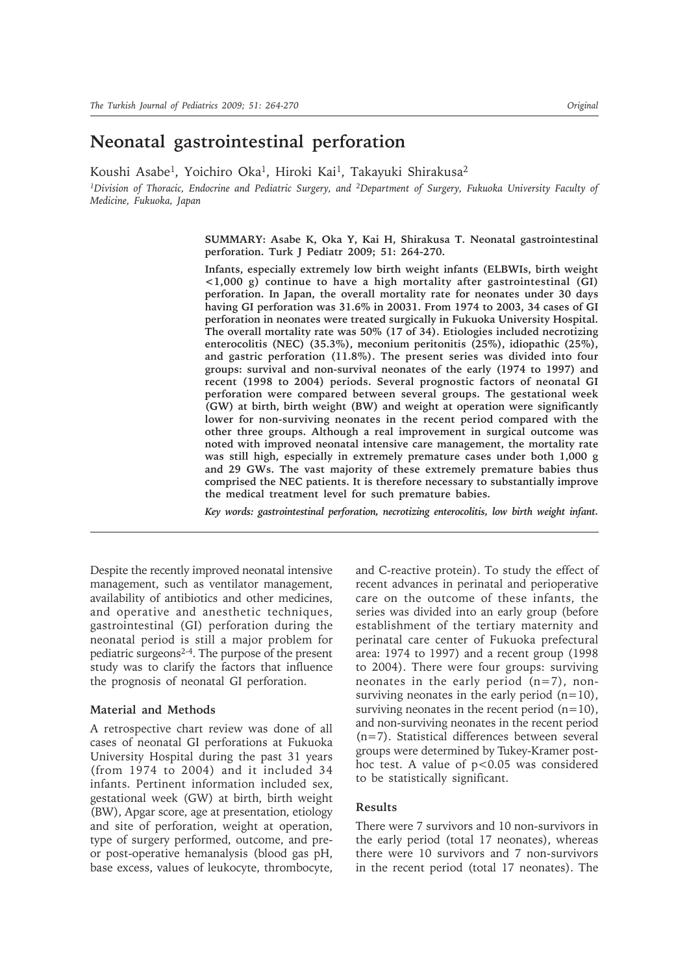# **Neonatal gastrointestinal perforation**

Koushi Asabe<sup>1</sup>, Yoichiro Oka<sup>1</sup>, Hiroki Kai<sup>1</sup>, Takayuki Shirakusa<sup>2</sup>

*1Division of Thoracic, Endocrine and Pediatric Surgery, and 2Department of Surgery, Fukuoka University Faculty of Medicine, Fukuoka, Japan*

> **SUMMARY: Asabe K, Oka Y, Kai H, Shirakusa T. Neonatal gastrointestinal perforation. Turk J Pediatr 2009; 51: 264-270.**

> **Infants, especially extremely low birth weight infants (ELBWIs, birth weight <1,000 g) continue to have a high mortality after gastrointestinal (GI) perforation. In Japan, the overall mortality rate for neonates under 30 days having GI perforation was 31.6% in 20031. From 1974 to 2003, 34 cases of GI perforation in neonates were treated surgically in Fukuoka University Hospital. The overall mortality rate was 50% (17 of 34). Etiologies included necrotizing enterocolitis (NEC) (35.3%), meconium peritonitis (25%), idiopathic (25%), and gastric perforation (11.8%). The present series was divided into four groups: survival and non-survival neonates of the early (1974 to 1997) and recent (1998 to 2004) periods. Several prognostic factors of neonatal GI perforation were compared between several groups. The gestational week (GW) at birth, birth weight (BW) and weight at operation were significantly lower for non-surviving neonates in the recent period compared with the other three groups. Although a real improvement in surgical outcome was noted with improved neonatal intensive care management, the mortality rate was still high, especially in extremely premature cases under both 1,000 g and 29 GWs. The vast majority of these extremely premature babies thus comprised the NEC patients. It is therefore necessary to substantially improve the medical treatment level for such premature babies.**

> *Key words: gastrointestinal perforation, necrotizing enterocolitis, low birth weight infant.*

Despite the recently improved neonatal intensive management, such as ventilator management, availability of antibiotics and other medicines, and operative and anesthetic techniques, gastrointestinal (GI) perforation during the neonatal period is still a major problem for pediatric surgeons2-4. The purpose of the present study was to clarify the factors that influence the prognosis of neonatal GI perforation.

### **Material and Methods**

A retrospective chart review was done of all cases of neonatal GI perforations at Fukuoka University Hospital during the past 31 years (from 1974 to 2004) and it included 34 infants. Pertinent information included sex, gestational week (GW) at birth, birth weight (BW), Apgar score, age at presentation, etiology and site of perforation, weight at operation, type of surgery performed, outcome, and preor post-operative hemanalysis (blood gas pH, base excess, values of leukocyte, thrombocyte,

and C-reactive protein). To study the effect of recent advances in perinatal and perioperative care on the outcome of these infants, the series was divided into an early group (before establishment of the tertiary maternity and perinatal care center of Fukuoka prefectural area: 1974 to 1997) and a recent group (1998 to 2004). There were four groups: surviving neonates in the early period  $(n=7)$ , nonsurviving neonates in the early period  $(n=10)$ , surviving neonates in the recent period  $(n=10)$ , and non-surviving neonates in the recent period (n=7). Statistical differences between several groups were determined by Tukey-Kramer posthoc test. A value of  $p < 0.05$  was considered to be statistically significant.

## **Results**

There were 7 survivors and 10 non-survivors in the early period (total 17 neonates), whereas there were 10 survivors and 7 non-survivors in the recent period (total 17 neonates). The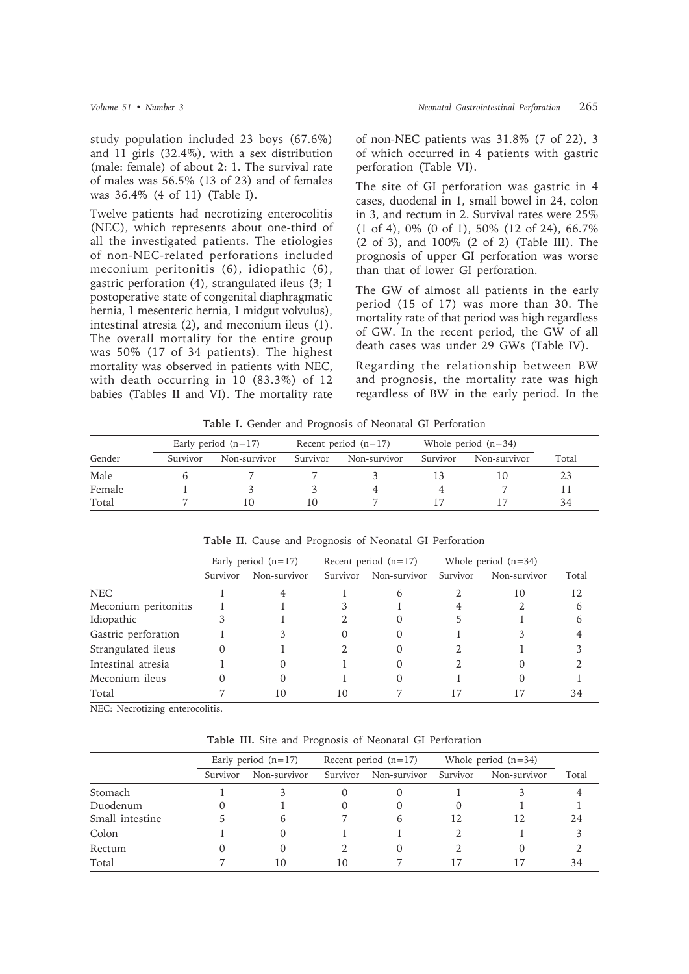study population included 23 boys (67.6%) and 11 girls (32.4%), with a sex distribution (male: female) of about 2: 1. The survival rate of males was 56.5% (13 of 23) and of females was 36.4% (4 of 11) (Table I).

Twelve patients had necrotizing enterocolitis (NEC), which represents about one-third of all the investigated patients. The etiologies of non-NEC-related perforations included meconium peritonitis (6), idiopathic (6), gastric perforation (4), strangulated ileus (3; 1 postoperative state of congenital diaphragmatic hernia, 1 mesenteric hernia, 1 midgut volvulus), intestinal atresia (2), and meconium ileus (1). The overall mortality for the entire group was 50% (17 of 34 patients). The highest mortality was observed in patients with NEC, with death occurring in 10 (83.3%) of 12 babies (Tables II and VI). The mortality rate

of non-NEC patients was 31.8% (7 of 22), 3 of which occurred in 4 patients with gastric perforation (Table VI).

The site of GI perforation was gastric in 4 cases, duodenal in 1, small bowel in 24, colon in 3, and rectum in 2. Survival rates were 25% (1 of 4), 0% (0 of 1), 50% (12 of 24), 66.7% (2 of 3), and 100% (2 of 2) (Table III). The prognosis of upper GI perforation was worse than that of lower GI perforation.

The GW of almost all patients in the early period (15 of 17) was more than 30. The mortality rate of that period was high regardless of GW. In the recent period, the GW of all death cases was under 29 GWs (Table IV).

Regarding the relationship between BW and prognosis, the mortality rate was high regardless of BW in the early period. In the

**Table I.** Gender and Prognosis of Neonatal GI Perforation

|        |          | Early period $(n=17)$ |          | Recent period $(n=17)$ |          | Whole period $(n=34)$ |       |
|--------|----------|-----------------------|----------|------------------------|----------|-----------------------|-------|
| Gender | Survivor | Non-survivor          | Survivor | Non-survivor           | Survivor | Non-survivor          | Total |
| Male   |          |                       |          |                        |          |                       | 23    |
| Female |          |                       |          |                        |          |                       |       |
| Total  |          |                       | 10       |                        |          |                       | 34    |

|                      |          | Early period $(n=17)$ |          | Recent period $(n=17)$ |          | Whole period $(n=34)$ |       |
|----------------------|----------|-----------------------|----------|------------------------|----------|-----------------------|-------|
|                      | Survivor | Non-survivor          | Survivor | Non-survivor           | Survivor | Non-survivor          | Total |
| <b>NEC</b>           |          |                       |          |                        |          | 10                    | 12    |
| Meconium peritonitis |          |                       |          |                        |          |                       | b     |
| Idiopathic           |          |                       |          |                        |          |                       |       |
| Gastric perforation  |          |                       |          |                        |          |                       |       |
| Strangulated ileus   |          |                       |          |                        |          |                       |       |
| Intestinal atresia   |          |                       |          |                        |          |                       |       |
| Meconium ileus       |          | ( )                   |          |                        |          |                       |       |
| Total                |          | IО                    | 10       |                        |          |                       | 34    |

**Table II.** Cause and Prognosis of Neonatal GI Perforation

NEC: Necrotizing enterocolitis.

**Table III.** Site and Prognosis of Neonatal GI Perforation

|                 |          | Early period $(n=17)$ |          | Recent period $(n=17)$ |          | Whole period $(n=34)$ |       |
|-----------------|----------|-----------------------|----------|------------------------|----------|-----------------------|-------|
|                 |          |                       |          |                        |          |                       |       |
|                 | Survivor | Non-survivor          | Survivor | Non-survivor           | Survivor | Non-survivor          | Total |
| Stomach         |          |                       |          |                        |          |                       |       |
| Duodenum        |          |                       |          |                        | O        |                       |       |
| Small intestine |          | b                     |          | h                      | 12       | 12                    | 24    |
| Colon           |          | 0                     |          |                        |          |                       |       |
| Rectum          |          |                       |          |                        |          |                       |       |
| Total           |          | 10                    | 10       |                        |          |                       | 34    |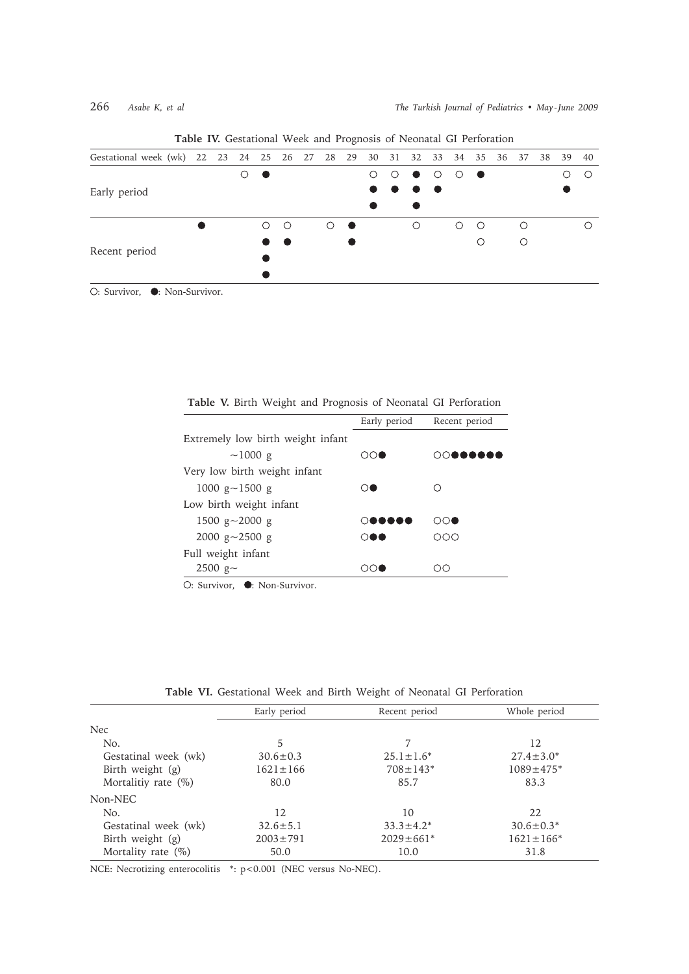|                                                                       |  |     |         |            | ັ |   |                                                                                                          |         |                                             |           |   |    |      |    |
|-----------------------------------------------------------------------|--|-----|---------|------------|---|---|----------------------------------------------------------------------------------------------------------|---------|---------------------------------------------|-----------|---|----|------|----|
| Gestational week (wk) 22 23 24 25 26 27 28 29 30 31 32 33 34 35 36 37 |  |     |         |            |   |   |                                                                                                          |         |                                             |           |   | 38 | - 39 | 40 |
|                                                                       |  | - - |         |            |   | ∩ | $\bullet$                                                                                                | $\circ$ | $\circ$                                     | $\bullet$ |   |    |      |    |
| Early period                                                          |  |     |         |            |   |   | $\begin{array}{ccccccccccccccccc} \bullet & \bullet & \bullet & \bullet & \bullet & \bullet \end{array}$ |         |                                             |           |   |    |      |    |
|                                                                       |  |     |         |            |   |   |                                                                                                          |         |                                             |           |   |    |      |    |
|                                                                       |  | ∩   | $\circ$ | $\bigcirc$ |   |   | $\bigcirc$                                                                                               |         | $\left(\begin{array}{c} \end{array}\right)$ | ∩         | ∩ |    |      |    |
|                                                                       |  |     |         |            |   |   |                                                                                                          |         |                                             | ∩         |   |    |      |    |
| Recent period                                                         |  |     |         |            |   |   |                                                                                                          |         |                                             |           |   |    |      |    |
|                                                                       |  |     |         |            |   |   |                                                                                                          |         |                                             |           |   |    |      |    |
| ○: Survivor, ●: Non-Survivor.                                         |  |     |         |            |   |   |                                                                                                          |         |                                             |           |   |    |      |    |

**Table IV.** Gestational Week and Prognosis of Neonatal GI Perforation

|                                   | Early period               | Recent period |
|-----------------------------------|----------------------------|---------------|
| Extremely low birth weight infant |                            |               |
| $~1000~{\rm g}$                   | ∩∩●                        | റവ<br>.       |
| Very low birth weight infant      |                            |               |
| 1000 g $\sim$ 1500 g              | ∩●                         |               |
| Low birth weight infant           |                            |               |
| 1500 g $\sim$ 2000 g              | 0 <b>00000</b>             | ೧೧●           |
| 2000 g $\sim$ 2500 g              | $\bigcirc \bullet \bullet$ | റററ           |
| Full weight infant                |                            |               |
| $2500$ g~                         | ററല                        | CC            |
| ○: Survivor, ●: Non-Survivor.     |                            |               |

**Table V.** Birth Weight and Prognosis of Neonatal GI Perforation

**Table VI.** Gestational Week and Birth Weight of Neonatal GI Perforation

|                        | Early period   | Recent period    | Whole period     |
|------------------------|----------------|------------------|------------------|
| <b>Nec</b>             |                |                  |                  |
| No.                    | 5              | 7                | 12               |
| Gestatinal week (wk)   | $30.6 \pm 0.3$ | $25.1 \pm 1.6^*$ | $27.4 \pm 3.0^*$ |
| Birth weight (g)       | $1621 \pm 166$ | $708 \pm 143*$   | $1089 \pm 475$ * |
| Mortalitiy rate $(\%)$ | 80.0           | 85.7             | 83.3             |
| Non-NEC                |                |                  |                  |
| No.                    | 12             | 10               | 22               |
| Gestatinal week (wk)   | $32.6 \pm 5.1$ | $33.3 \pm 4.2^*$ | $30.6 \pm 0.3*$  |
| Birth weight (g)       | $2003 \pm 791$ | $2029 \pm 661*$  | $1621 \pm 166*$  |
| Mortality rate $(\%)$  | 50.0           | 10.0             | 31.8             |

NCE: Necrotizing enterocolitis \*: p<0.001 (NEC versus No-NEC).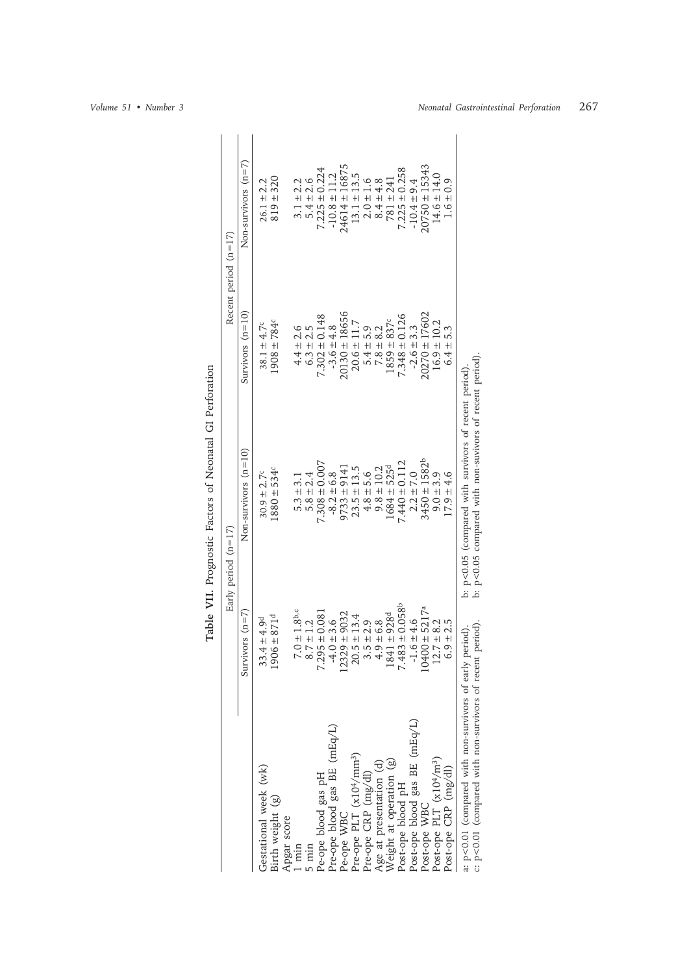|                                                                                                             |                                 | Early period $(n=17)$                                                                                          |                                     | Recent period $(n=17)$         |
|-------------------------------------------------------------------------------------------------------------|---------------------------------|----------------------------------------------------------------------------------------------------------------|-------------------------------------|--------------------------------|
|                                                                                                             | Survivors $(n=7)$               | Non-survivors $(n=10)$                                                                                         | Survivors $(n=10)$                  | Non-survivors $(n=7)$          |
| Gestational week (wk)                                                                                       | $4 \pm 4.9$ d<br>33.            | $30.9 \pm 2.7^c$                                                                                               | $38.1 \pm 4.7^c$                    | $26.1 \pm 2.2$                 |
| Birth weight (g)                                                                                            | $6 + 871$ d<br><u>90</u>        | $.880 \pm 534c$                                                                                                | $1908 \pm 784$ <sup>c</sup>         | $819 \pm 320$                  |
|                                                                                                             |                                 |                                                                                                                |                                     |                                |
| Apgar score<br>1 min                                                                                        | 1.8 <sup>b,c</sup><br>$7.0\pm1$ | $5.3 \pm 3.1$                                                                                                  |                                     | $3.1 \pm 2.2$                  |
| $5 \text{ min}$                                                                                             | $8.7 \pm 1.2$                   | $5.8 \pm 2.4$                                                                                                  | $4.4 \pm 2.6$<br>6.3 $\pm$ 2.5      | $5.4 \pm 2.6$                  |
| Pe-ope blood gas pH                                                                                         | $5 - 0.08$<br>7.29              | $7.308 \pm 0.007$                                                                                              |                                     | $7.225 \pm 0.224$              |
| Pre-ope blood gas BE (mEq/L)                                                                                | $-4.0 \pm 3.6$                  | $-8.2 \pm 6.8$                                                                                                 | $7.302 \pm 0.148$<br>$-3.6 \pm 4.8$ | $-10.8 \pm 11.2$               |
| Pe-ope WBC                                                                                                  | $12329 \pm 9032$                | $9733 \pm 9141$                                                                                                | $20130 \pm 18656$                   | 24614 ± 16875                  |
| Pre-ope PLT (x10 <sup>4</sup> /mm <sup>3</sup> )                                                            | $.5 \pm 13.4$<br>$\overline{c}$ | $23.5 \pm 13.5$                                                                                                | $20.6 \pm 11.7$                     | $13.1 \pm 13.5$                |
| Pre-ope CRP (mg/dl)                                                                                         | $3.5 \pm 2.9$<br>4.9 ± 6.8      | $4.8 \pm 5.6$                                                                                                  |                                     |                                |
| Age at presentation (d)                                                                                     | $.9 \pm 6.8$                    | $9.8 \pm 10.2$                                                                                                 | $5.4 \pm 5.9$<br>7.8 $\pm$ 8.2      | $2.0 \pm 1.6$<br>$8.4 \pm 4.8$ |
| Weight at operation (g)                                                                                     | $1 + 928^{d}$<br>184            | $.684 \pm 525$ <sup>d</sup>                                                                                    | $1859 \pm 837$                      | $781 \pm 241$                  |
| Post-ope blood pH                                                                                           | $7.483 \pm 0.058$ <sup>b</sup>  | $.440 \pm 0.112$                                                                                               | $7.348 \pm 0.126$                   | $7.225 \pm 0.258$              |
| Post-ope blood gas BE (mEq/L)                                                                               | $-6 \pm 4.6$<br>$\overline{1}$  | $2.2 \pm 7.0$                                                                                                  | $-2.6 \pm 3.3$                      | $-10.4 = 9.4$                  |
| Post-ope WBC                                                                                                | $10400 \pm 5217^a$              | $3450 \pm 1582^b$                                                                                              | 17602<br>$20270 \pm 1$              | $20750 \pm 15343$              |
| Post-ope PLT (x10 <sup>4</sup> /m <sup>3</sup> )                                                            | $12.7 \pm 8.2$                  | $9.0 + 3.9$                                                                                                    | $16.9 \pm 10.2$                     | $14.6 \pm 14.0$                |
| Post-ope CRP (mg/dl)                                                                                        | $\frac{1}{2}$                   | $17.9 \pm 4.6$                                                                                                 | $6.4 +$                             | 0.9<br>$+1$                    |
| a: p<0.01 (compared with non-survivors of early period)<br>c: p<0.01 (compared with non-survivors of recent | period)                         | b: p<0.05 compared with non-suvivors of recent period)<br>b: p<0.05 (compared with survivors of recent period) |                                     |                                |

Table VII. Prognostic Factors of Neonatal GI Perforation **Table VII.** Prognostic Factors of Neonatal GI Perforation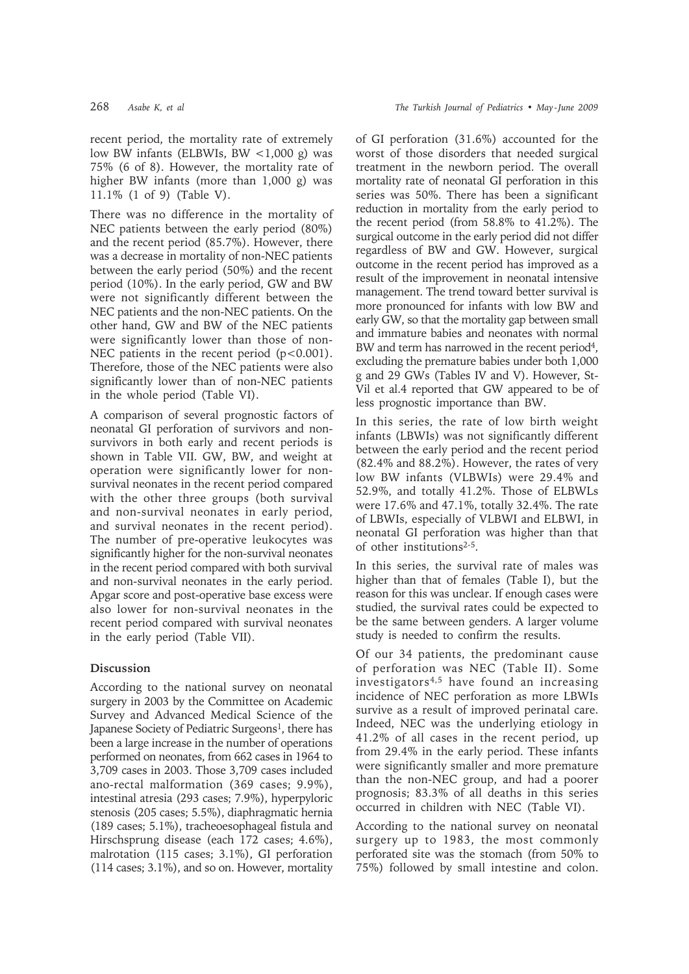recent period, the mortality rate of extremely low BW infants (ELBWIs, BW  $\lt$ 1,000 g) was 75% (6 of 8). However, the mortality rate of higher BW infants (more than 1,000 g) was 11.1% (1 of 9) (Table V).

There was no difference in the mortality of NEC patients between the early period (80%) and the recent period (85.7%). However, there was a decrease in mortality of non-NEC patients between the early period (50%) and the recent period (10%). In the early period, GW and BW were not significantly different between the NEC patients and the non-NEC patients. On the other hand, GW and BW of the NEC patients were significantly lower than those of non-NEC patients in the recent period  $(p<0.001)$ . Therefore, those of the NEC patients were also significantly lower than of non-NEC patients in the whole period (Table VI).

A comparison of several prognostic factors of neonatal GI perforation of survivors and nonsurvivors in both early and recent periods is shown in Table VII. GW, BW, and weight at operation were significantly lower for nonsurvival neonates in the recent period compared with the other three groups (both survival and non-survival neonates in early period, and survival neonates in the recent period). The number of pre-operative leukocytes was significantly higher for the non-survival neonates in the recent period compared with both survival and non-survival neonates in the early period. Apgar score and post-operative base excess were also lower for non-survival neonates in the recent period compared with survival neonates in the early period (Table VII).

## **Discussion**

According to the national survey on neonatal surgery in 2003 by the Committee on Academic Survey and Advanced Medical Science of the Japanese Society of Pediatric Surgeons<sup>1</sup>, there has been a large increase in the number of operations performed on neonates, from 662 cases in 1964 to 3,709 cases in 2003. Those 3,709 cases included ano-rectal malformation (369 cases; 9.9%), intestinal atresia (293 cases; 7.9%), hyperpyloric stenosis (205 cases; 5.5%), diaphragmatic hernia (189 cases; 5.1%), tracheoesophageal fistula and Hirschsprung disease (each 172 cases; 4.6%), malrotation (115 cases; 3.1%), GI perforation (114 cases; 3.1%), and so on. However, mortality of GI perforation (31.6%) accounted for the worst of those disorders that needed surgical treatment in the newborn period. The overall mortality rate of neonatal GI perforation in this series was 50%. There has been a significant reduction in mortality from the early period to the recent period (from 58.8% to 41.2%). The surgical outcome in the early period did not differ regardless of BW and GW. However, surgical outcome in the recent period has improved as a result of the improvement in neonatal intensive management. The trend toward better survival is more pronounced for infants with low BW and early GW, so that the mortality gap between small and immature babies and neonates with normal BW and term has narrowed in the recent period<sup>4</sup>. excluding the premature babies under both 1,000 g and 29 GWs (Tables IV and V). However, St-Vil et al.4 reported that GW appeared to be of less prognostic importance than BW.

In this series, the rate of low birth weight infants (LBWIs) was not significantly different between the early period and the recent period (82.4% and 88.2%). However, the rates of very low BW infants (VLBWIs) were 29.4% and 52.9%, and totally 41.2%. Those of ELBWLs were 17.6% and 47.1%, totally 32.4%. The rate of LBWIs, especially of VLBWI and ELBWI, in neonatal GI perforation was higher than that of other institutions2-5.

In this series, the survival rate of males was higher than that of females (Table I), but the reason for this was unclear. If enough cases were studied, the survival rates could be expected to be the same between genders. A larger volume study is needed to confirm the results.

Of our 34 patients, the predominant cause of perforation was NEC (Table II). Some investigators4,5 have found an increasing incidence of NEC perforation as more LBWIs survive as a result of improved perinatal care. Indeed, NEC was the underlying etiology in 41.2% of all cases in the recent period, up from 29.4% in the early period. These infants were significantly smaller and more premature than the non-NEC group, and had a poorer prognosis; 83.3% of all deaths in this series occurred in children with NEC (Table VI).

According to the national survey on neonatal surgery up to 1983, the most commonly perforated site was the stomach (from 50% to 75%) followed by small intestine and colon.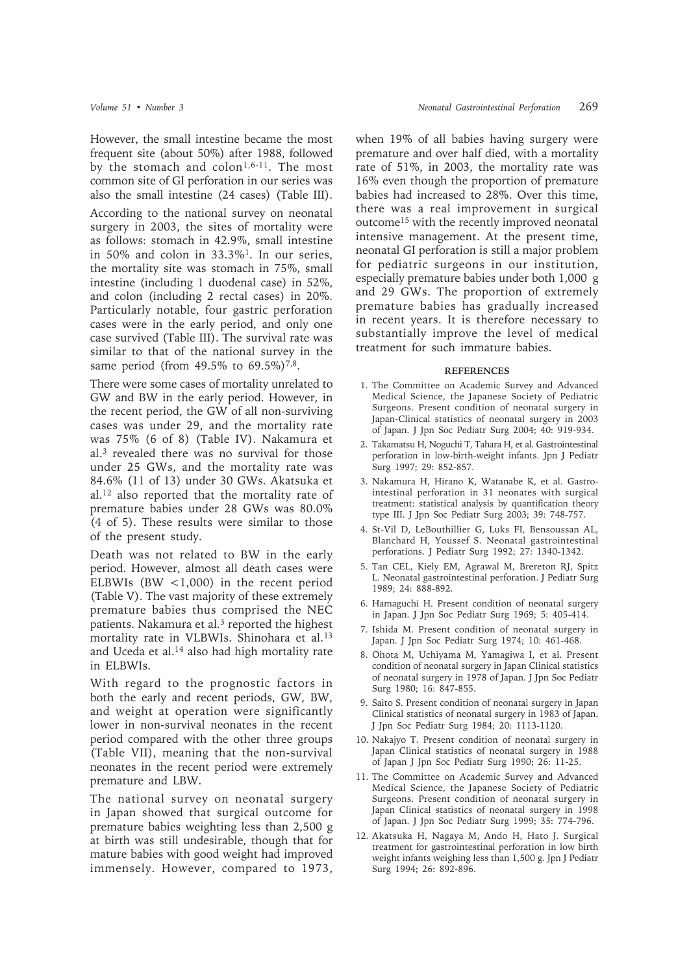However, the small intestine became the most frequent site (about 50%) after 1988, followed by the stomach and colon<sup>1,6-11</sup>. The most common site of GI perforation in our series was also the small intestine (24 cases) (Table III).

According to the national survey on neonatal surgery in 2003, the sites of mortality were as follows: stomach in 42.9%, small intestine in 50% and colon in 33.3%1. In our series, the mortality site was stomach in 75%, small intestine (including 1 duodenal case) in 52%, and colon (including 2 rectal cases) in 20%. Particularly notable, four gastric perforation cases were in the early period, and only one case survived (Table III). The survival rate was similar to that of the national survey in the same period (from 49.5% to 69.5%)<sup>7,8</sup>.

There were some cases of mortality unrelated to GW and BW in the early period. However, in the recent period, the GW of all non-surviving cases was under 29, and the mortality rate was 75% (6 of 8) (Table IV). Nakamura et al.3 revealed there was no survival for those under 25 GWs, and the mortality rate was 84.6% (11 of 13) under 30 GWs. Akatsuka et al.12 also reported that the mortality rate of premature babies under 28 GWs was 80.0% (4 of 5). These results were similar to those of the present study.

Death was not related to BW in the early period. However, almost all death cases were ELBWIs (BW  $\leq$ 1,000) in the recent period (Table V). The vast majority of these extremely premature babies thus comprised the NEC patients. Nakamura et al.<sup>3</sup> reported the highest mortality rate in VLBWIs. Shinohara et al.13 and Uceda et al.14 also had high mortality rate in ELBWIs.

With regard to the prognostic factors in both the early and recent periods, GW, BW, and weight at operation were significantly lower in non-survival neonates in the recent period compared with the other three groups (Table VII), meaning that the non-survival neonates in the recent period were extremely premature and LBW.

The national survey on neonatal surgery in Japan showed that surgical outcome for premature babies weighting less than 2,500 g at birth was still undesirable, though that for mature babies with good weight had improved immensely. However, compared to 1973,

when 19% of all babies having surgery were premature and over half died, with a mortality rate of 51%, in 2003, the mortality rate was 16% even though the proportion of premature babies had increased to 28%. Over this time, there was a real improvement in surgical outcome15 with the recently improved neonatal intensive management. At the present time, neonatal GI perforation is still a major problem for pediatric surgeons in our institution, especially premature babies under both 1,000 g and 29 GWs. The proportion of extremely premature babies has gradually increased in recent years. It is therefore necessary to substantially improve the level of medical treatment for such immature babies.

### **REFERENCES**

- 1. The Committee on Academic Survey and Advanced Medical Science, the Japanese Society of Pediatric Surgeons. Present condition of neonatal surgery in Japan-Clinical statistics of neonatal surgery in 2003 of Japan. J Jpn Soc Pediatr Surg 2004; 40: 919-934.
- 2. Takamatsu H, Noguchi T, Tahara H, et al. Gastrointestinal perforation in low-birth-weight infants. Jpn J Pediatr Surg 1997; 29: 852-857.
- 3. Nakamura H, Hirano K, Watanabe K, et al. Gastrointestinal perforation in 31 neonates with surgical treatment: statistical analysis by quantification theory type III. J Jpn Soc Pediatr Surg 2003; 39: 748-757.
- 4. St-Vil D, LeBouthillier G, Luks FI, Bensoussan AL, Blanchard H, Youssef S. Neonatal gastrointestinal perforations. J Pediatr Surg 1992; 27: 1340-1342.
- 5. Tan CEL, Kiely EM, Agrawal M, Brereton RJ, Spitz L. Neonatal gastrointestinal perforation. J Pediatr Surg 1989; 24: 888-892.
- 6. Hamaguchi H. Present condition of neonatal surgery in Japan. J Jpn Soc Pediatr Surg 1969; 5: 405-414.
- 7. Ishida M. Present condition of neonatal surgery in Japan. J Jpn Soc Pediatr Surg 1974; 10: 461-468.
- 8. Ohota M, Uchiyama M, Yamagiwa I, et al. Present condition of neonatal surgery in Japan Clinical statistics of neonatal surgery in 1978 of Japan. J Jpn Soc Pediatr Surg 1980; 16: 847-855.
- 9. Saito S. Present condition of neonatal surgery in Japan Clinical statistics of neonatal surgery in 1983 of Japan. J Jpn Soc Pediatr Surg 1984; 20: 1113-1120.
- 10. Nakajyo T. Present condition of neonatal surgery in Japan Clinical statistics of neonatal surgery in 1988 of Japan J Jpn Soc Pediatr Surg 1990; 26: 11-25.
- 11. The Committee on Academic Survey and Advanced Medical Science, the Japanese Society of Pediatric Surgeons. Present condition of neonatal surgery in Japan Clinical statistics of neonatal surgery in 1998 of Japan. J Jpn Soc Pediatr Surg 1999; 35: 774-796.
- 12. Akatsuka H, Nagaya M, Ando H, Hato J. Surgical treatment for gastrointestinal perforation in low birth weight infants weighing less than 1,500 g. Jpn J Pediatr Surg 1994; 26: 892-896.